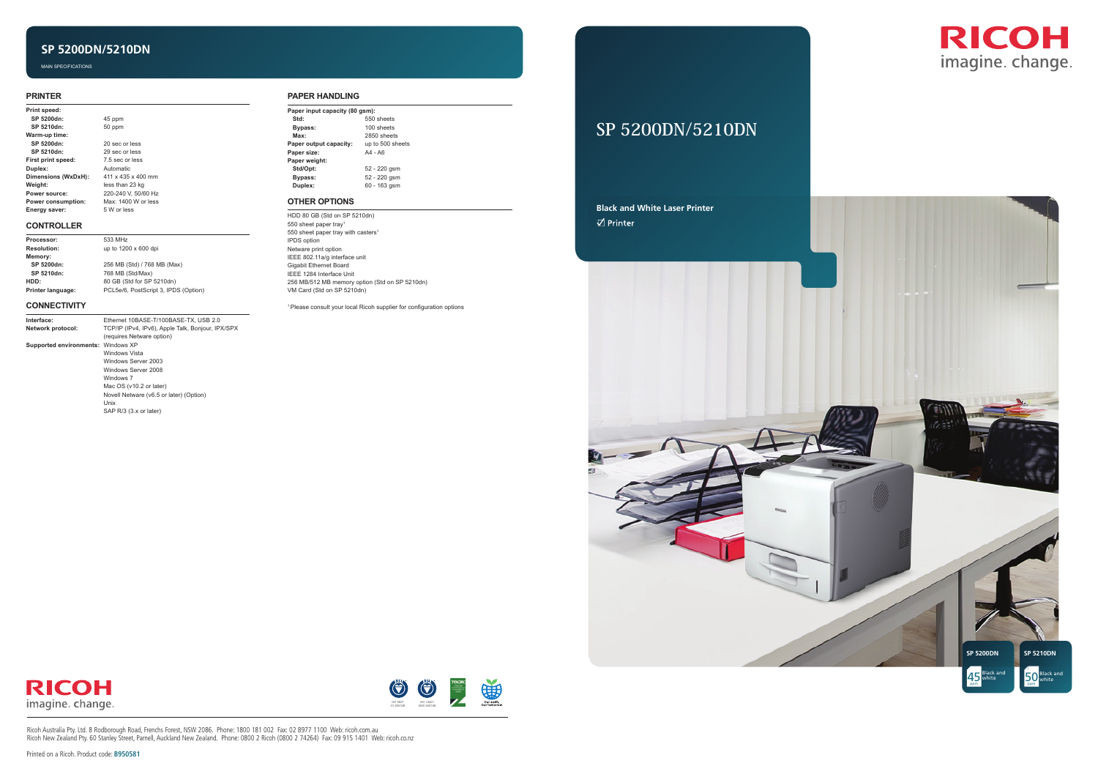

# **SP 5200DN/5210DN**





## **SP 5200DN/5210DN**

Ricoh Australia Pty. Ltd. 8 Rodborough Road, Frenchs Forest, NSW 2086. Phone: 1800 181 002 Fax: 02 8977 1100 Web: ricoh.com.au Ricoh New Zealand Pty. 60 Stanley Street, Parnell, Auckland New Zealand. Phone: 0800 2 Ricoh (0800 2 74264) Fax: 09 915 1401 Web: ricoh.co.nz



MAIN SPECIFICATIONS

#### **PAPER HANDLING**

| Paper input capacity (80 gsm): |                  |  |
|--------------------------------|------------------|--|
| Std:                           | 550 sheets       |  |
| Bypass:                        | 100 sheets       |  |
| Max:                           | 2850 sheets      |  |
| Paper output capacity:         | up to 500 sheets |  |
| Paper size:                    | $AA - AG$        |  |
| Paper weight:                  |                  |  |
| Std/Opt:                       | 52 - 220 gsm     |  |
| Bypass:                        | 52 - 220 gsm     |  |
| Duplex:                        | 60 - 163 gsm     |  |
|                                |                  |  |

#### **OTHER OPTIONS**

HDD 80 GB (Std on SP 5210dn) 550 sheet paper tray1 550 sheet paper tray with casters<sup>1</sup> IPDS option Netware print option IEEE 802.11a/g interface unit Gigabit Ethernet Board IEEE 1284 Interface Unit 256 MB/512 MB memory option (Std on SP 5210dn) VM Card (Std on SP 5210dn)

<sup>1</sup>Please consult your local Ricoh supplier for configuration options

#### **PRINTER**

| Print speed:        |                     |
|---------------------|---------------------|
| SP 5200dn:          | 45 ppm              |
| SP 5210dn:          | 50 ppm              |
| Warm-up time:       |                     |
| SP 5200dn:          | 20 sec or less      |
| SP 5210dn:          | 29 sec or less      |
| First print speed:  | 7.5 sec or less     |
| Duplex:             | <b>Automatic</b>    |
| Dimensions (WxDxH): | 411 x 435 x 400 mm  |
| Weight:             | less than 23 kg     |
| Power source:       | 220-240 V. 50/60 Hz |
| Power consumption:  | Max: 1400 W or less |
| Energy saver:       | 5 W or less         |

#### **CONTROLLER**

| Processor:         | 533 MHz                              |
|--------------------|--------------------------------------|
| <b>Resolution:</b> | up to 1200 x 600 dpi                 |
| Memory:            |                                      |
| SP 5200dn:         | 256 MB (Std) / 768 MB (Max)          |
| SP 5210dn:         | 768 MB (Std/Max)                     |
| HDD:               | 80 GB (Std for SP 5210dn)            |
| Printer language:  | PCL5e/6, PostScript 3, IPDS (Option) |

#### **CONNECTIVITY**

**Interface:** 

| Interface:                         | Ethernet 10BASE-T/100BASE-TX, USB 2.0             |
|------------------------------------|---------------------------------------------------|
| Network protocol:                  | TCP/IP (IPv4, IPv6), Apple Talk, Bonjour, IPX/SPX |
|                                    | (requires Netware option)                         |
| Supported environments: Windows XP |                                                   |
|                                    | <b>Windows Vista</b>                              |
|                                    | Windows Server 2003                               |
|                                    | Windows Server 2008                               |
|                                    | Windows 7                                         |
|                                    | Mac OS (v10.2 or later)                           |
|                                    | Novell Netware (v6.5 or later) (Option)           |
|                                    | Unix                                              |
|                                    | SAP R/3 (3.x or later)                            |